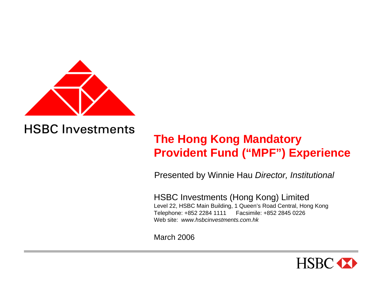

# **The Hong Kong Mandatory Provident Fund ("MPF") Experience**

Presented by Winnie Hau *Director, Institutional*

HSBC Investments (Hong Kong) Limited Level 22, HSBC Main Building, 1 Queen's R oad Central, Hong Kong Telephone: +852 2284 1111 F acsimile: +852 2845 0226Web site: *www.hsbcinvestments.com.hk*

March 2006

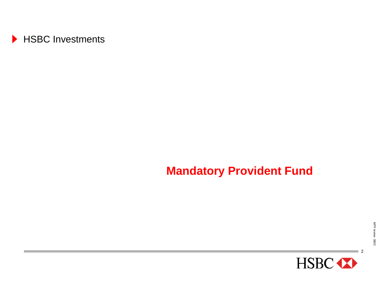

## **Mandatory Provident Fund**

 $\overline{\phantom{0}}$ 

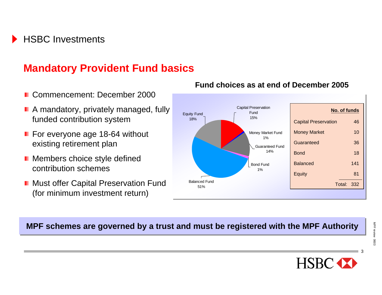## **Mandatory Provident Fund basics**

- Commencement: December 2000
- **A** mandatory, privately managed, fully funded contribution system
- **F** For everyone age 18-64 without existing retirement plan
- **Members choice style defined** contribution schemes
- **Must offer Capital Preservation Fund** (for minimum investment return)

#### **Fund choices as at end of December 2005**



#### **MPF schemes are governed by a trust and must be registered with the MPF Authority**

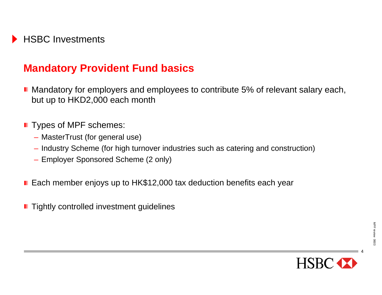### **Mandatory Provident Fund basics**

- **Mandatory for employers and employees to contribute 5% of relevant salary each,** but up to HKD2,000 each month
- **Types of MPF schemes:** 
	- MasterTrust (for general use)
	- Industry Scheme (for high turnover industries such as catering and construction)
	- Employer Sponsored Scheme (2 only)
- Each member enjoys up to HK\$12,000 tax deduction benefits each year
- **Tightly controlled investment guidelines**

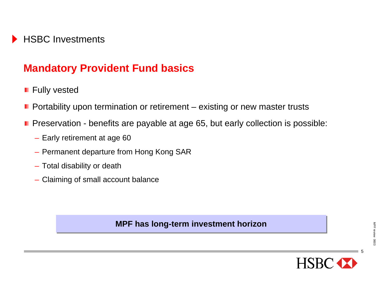## **Mandatory Provident Fund basics**

- **Fully vested**
- **P** Portability upon termination or retirement  $-$  existing or new master trusts
- Preservation benefits are payable at age 65, but early collection is possible:
	- Early retirement at age 60
	- Permanent departure from Hong Kong SAR
	- Total disability or death
	- Claiming of small account balance

**MPF has long-term investment horizon MPF has long-term investment horizon**

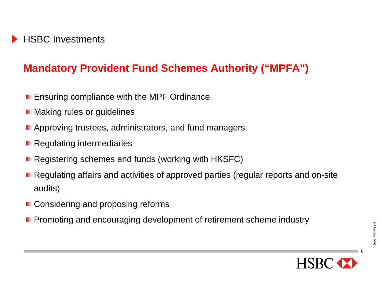## **Mandatory Provident Fund Schemes Authority ("MPFA")**

- **E** Ensuring compliance with the MPF Ordinance
- Making rules or guidelines
- **Approving trustees, administrators, and fund managers**
- **Regulating intermediaries**
- Registering schemes and funds (working with HKSFC)
- Regulating affairs and activities of approved parties (regular reports and on-site audits)
- Considering and proposing reforms
- **Promoting and encouraging development of retirement scheme industry**

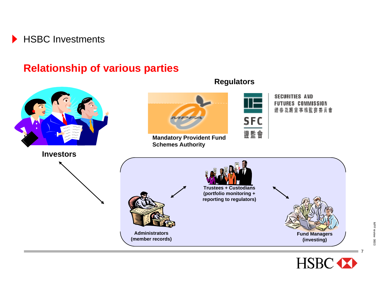

#### **Relationship of various parties**



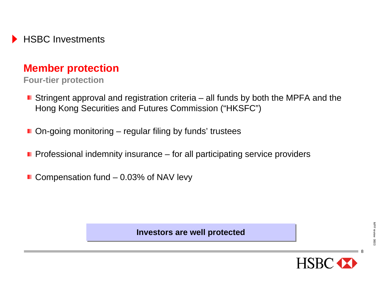

#### **Member protection**

**Four-tier protection**

- **Stringent approval and registration criteria** all funds by both the MPFA and the Hong Kong Securities and Futures Commission ("HKSFC")
- $\blacksquare$  On-going monitoring regular filing by funds' trustees
- **Professional indemnity insurance** for all participating service providers
- $\blacksquare$  Compensation fund 0.03% of NAV levy

8

**Investors are well protected Investors are well protected**

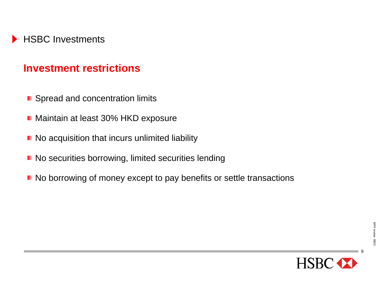#### **Investment restrictions**

- **Spread and concentration limits**
- **Maintain at least 30% HKD exposure**
- No acquisition that incurs unlimited liability
- **No securities borrowing, limited securities lending**
- No borrowing of money except to pay benefits or settle transactions

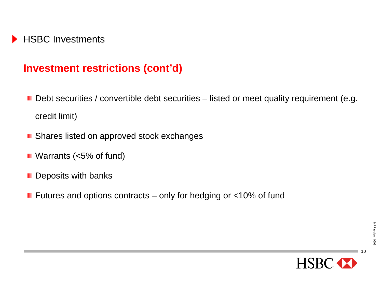### **Investment restrictions (cont'd)**

- Debt securities / convertible debt securities listed or meet quality requirement (e.g. credit limit)
- Shares listed on approved stock exchanges
- Warrants (<5% of fund)
- **Deposits with banks**
- **F** Futures and options contracts only for hedging or  $<10\%$  of fund

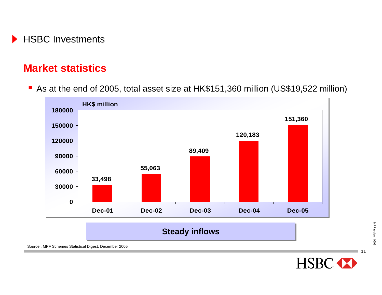

#### **Market statistics**

■ As at the end of 2005, total asset size at HK\$151,360 million (US\$19,522 million)



Source : MPF Schemes Statistical Digest, December 2005

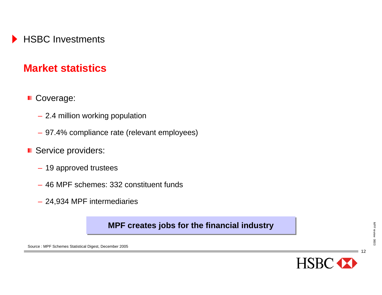

#### **Market statistics**

#### ■ Coverage:

- 2.4 million working population
- 97.4% compliance rate (relevant employees)
- Service providers:
	- 19 approved trustees
	- 46 MPF schemes: 332 constituent funds
	- 24,934 MPF intermediaries

#### **MPF creates jobs for the financial industry MPF creates jobs for the financial industry**

12

**HSBC** 

Source : MPF Schemes Statistical Digest, December 2005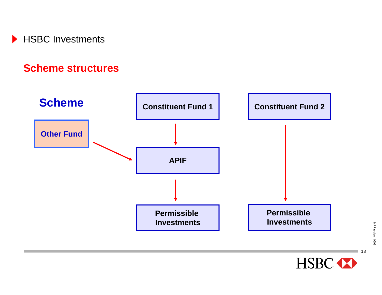

#### **Scheme structures**



 $\blacksquare$  13

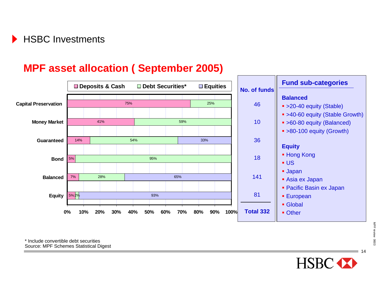### **MPF asset allocation ( September 2005)**

|                             | Deposits & Cash |            |            | $\square$ Equities<br>Debt Securities* |                    |                    | <b>Fund sub-categories</b>                                                                 |  |
|-----------------------------|-----------------|------------|------------|----------------------------------------|--------------------|--------------------|--------------------------------------------------------------------------------------------|--|
| <b>Capital Preservation</b> |                 |            | 75%        |                                        | 25%                | No. of funds<br>46 | <b>Balanced</b><br>• >20-40 equity (Stable)                                                |  |
| <b>Money Market</b>         |                 | 41%        |            | 59%                                    |                    | 10                 | • >40-60 equity (Stable Growth)<br>• >60-80 equity (Balanced)<br>• >80-100 equity (Growth) |  |
| <b>Guaranteed</b>           | 14%             |            | 54%        |                                        | 33%                | 36                 | <b>Equity</b>                                                                              |  |
| <b>Bond</b>                 | 5%              |            |            | 95%                                    |                    | 18                 | ■ Hong Kong<br>$\blacksquare$ US                                                           |  |
| <b>Balanced</b>             | 7%              | 28%        |            | 65%                                    |                    | 141                | <b>Japan</b><br>Asia ex Japan                                                              |  |
| <b>Equity</b>               | 5%2%            |            |            | 93%                                    |                    | 81                 | • Pacific Basin ex Japan<br><b>European</b><br>• Global                                    |  |
|                             | $0\%$<br>10%    | 20%<br>30% | 40%<br>50% | 60%<br>70%                             | 80%<br>90%<br>100% | <b>Total 332</b>   | • Other                                                                                    |  |

\* Include convertible debt securitiesSource: MPF Schemes Statistical Digest

HSBC <>>

 $-14$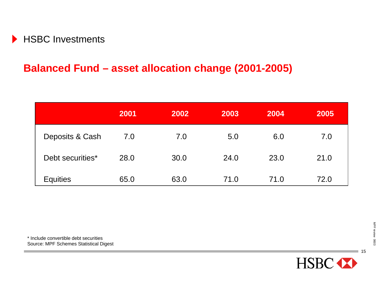

### **Balanced Fund – asset allocation change (2001-2005)**

|                  | 2001 | 2002 | 2003 | 2004 | 2005 |
|------------------|------|------|------|------|------|
| Deposits & Cash  | 7.0  | 7.0  | 5.0  | 6.0  | 7.0  |
| Debt securities* | 28.0 | 30.0 | 24.0 | 23.0 | 21.0 |
| <b>Equities</b>  | 65.0 | 63.0 | 71.0 | 71.0 | 72.0 |

\* Include convertible debt securitiesSource: MPF Schemes Statistical Digest



 $-15$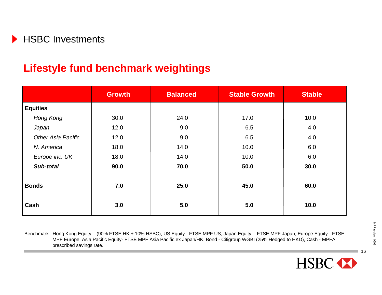## **Lifestyle fund benchmark weightings**

|                           | <b>Growth</b> | <b>Balanced</b> | <b>Stable Growth</b> | <b>Stable</b> |
|---------------------------|---------------|-----------------|----------------------|---------------|
| <b>Equities</b>           |               |                 |                      |               |
| Hong Kong                 | 30.0          | 24.0            | 17.0                 | 10.0          |
| Japan                     | 12.0          | 9.0             | 6.5                  | 4.0           |
| <b>Other Asia Pacific</b> | 12.0          | 9.0             | 6.5                  | 4.0           |
| N. America                | 18.0          | 14.0            | 10.0                 | 6.0           |
| Europe inc. UK            | 18.0          | 14.0            | 10.0                 | 6.0           |
| Sub-total                 | 90.0          | 70.0            | 50.0                 | 30.0          |
| <b>Bonds</b>              | 7.0           | 25.0            | 45.0                 | 60.0          |
| Cash                      | 3.0           | 5.0             | 5.0                  | 10.0          |

Benchmark : Hong Kong Equity – (90% FTSE HK + 10% HSBC), US Equity - FTSE MPF US, Japan Equity - FTSE MPF Japan, Europe Equity - FTSE MPF Europe, Asia Pacific Equity- FTSE MPF Asia Pacific ex Japan/HK, Bond - Citigroup WGBI (25% Hedged to HKD), Cash - MPFA prescribed savings rate.

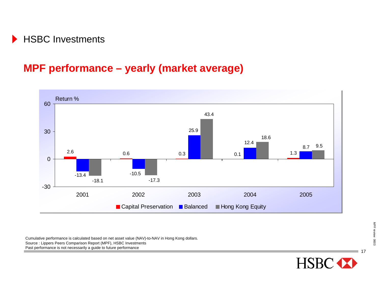### **MPF performance – yearly (market average)**



Cumulative performance is calculated based on net asset value (NAV)-to-NAV in Hong Kong dollars. Source : Lippers Peers Comparison Report (MPF), HSBC Investments

Past performance is not necessarily a guide to future performance

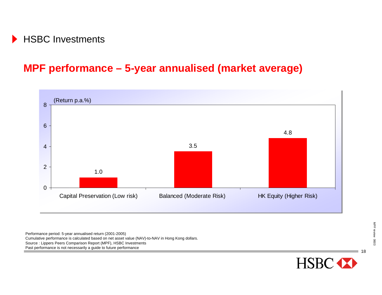## **MPF performance – 5-year annualised (market average)**



Performance period: 5-year annualised return (2001-2005) Cumulative performance is calculated based on net asset value (NAV)-to-NAV in Hong Kong dollars. Source : Lippers Peers Comparison Report (MPF), HSBC Investments Past performance is not necessarily a guide to future performance

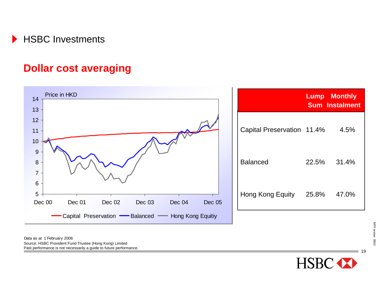

#### **Dollar cost averaging**



Source: HSBC Provident Fund Trustee (Hong Kong) Limited Past performance is not necessarily a guide to future performance. Data as at 1 February 2006

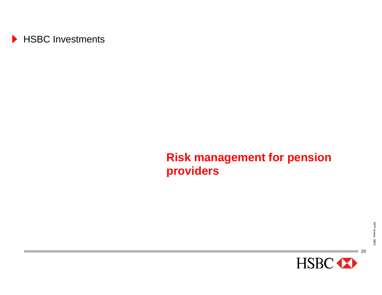

## **Risk management for pension providers**

 $\Box$  20

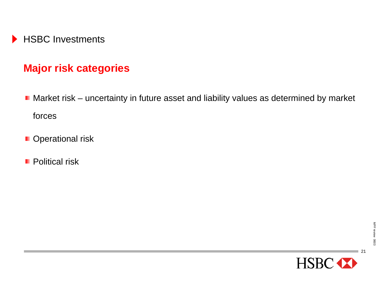

### **Major risk categories**

- Market risk uncertainty in future asset and liability values as determined by market forces
- **D** Operational risk
- **Political risk**

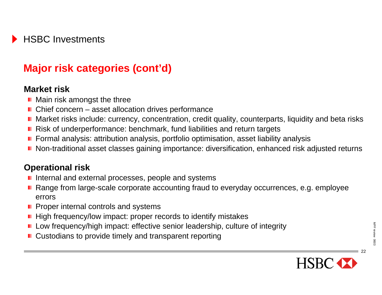## **Major risk categories (cont'd)**

#### **Market risk**

- **Main risk amongst the three**
- Chief concern asset allocation drives performance
- **Market risks include: currency, concentration, credit quality, counterparts, liquidity and beta risks**
- Risk of underperformance: benchmark, fund liabilities and return targets
- **F** Formal analysis: attribution analysis, portfolio optimisation, asset liability analysis
- Non-traditional asset classes gaining importance: diversification, enhanced risk adjusted returns

#### **Operational risk**

- Internal and external processes, people and systems
- Range from large-scale corporate accounting fraud to everyday occurrences, e.g. employee errors
- $\blacksquare$  Proper internal controls and systems
- $\blacksquare$  High frequency/low impact: proper records to identify mistakes
- **L** Low frequency/high impact: effective senior leadership, culture of integrity
- Custodians to provide timely and transparent reporting

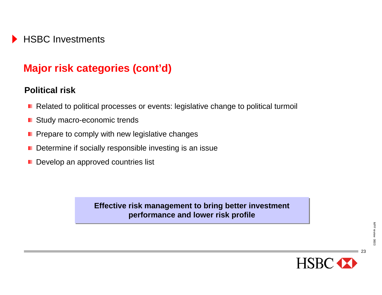## **Major risk categories (cont'd)**

#### **Political risk**

- Related to political processes or events: legislative change to political turmoil
- **E** Study macro-economic trends
- $\blacksquare$  Prepare to comply with new legislative changes
- $\blacksquare$  Determine if socially responsible investing is an issue
- Develop an approved countries list

**Effective risk management to bring better investment Effective risk management to bring better investment performance and lower risk profile performance and lower risk profile**

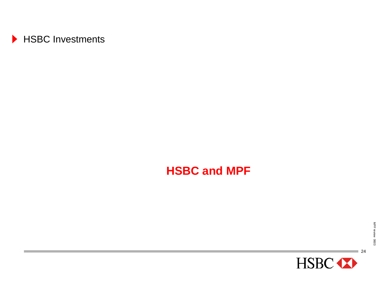

## **HSBC and MPF**

 $\overline{\phantom{0}}$  24

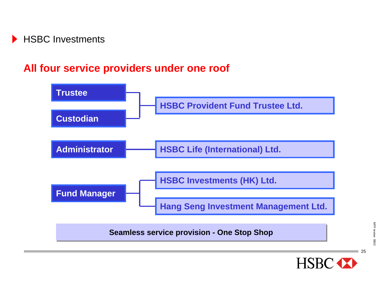

### **All four service providers under one roof**



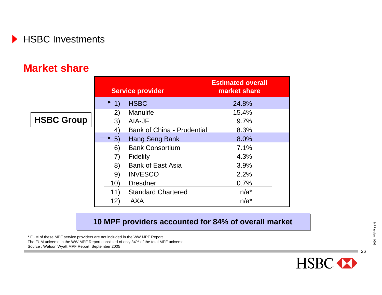

#### **Market share**

|                   |     | <b>Service provider</b>           | <b>Estimated overall</b><br>market share |
|-------------------|-----|-----------------------------------|------------------------------------------|
|                   | 1)  | <b>HSBC</b>                       | 24.8%                                    |
|                   | 2)  | <b>Manulife</b>                   | 15.4%                                    |
| <b>HSBC Group</b> | 3)  | AIA-JF                            | 9.7%                                     |
|                   | 4)  | <b>Bank of China - Prudential</b> | 8.3%                                     |
|                   | 5)  | Hang Seng Bank                    | 8.0%                                     |
|                   | 6)  | <b>Bank Consortium</b>            | 7.1%                                     |
|                   | 7)  | <b>Fidelity</b>                   | 4.3%                                     |
|                   | 8)  | <b>Bank of East Asia</b>          | 3.9%                                     |
|                   | 9)  | <b>INVESCO</b>                    | 2.2%                                     |
|                   | 10) | <b>Dresdner</b>                   | 0.7%                                     |
|                   | 11) | <b>Standard Chartered</b>         | $n/a^*$                                  |
|                   | 12) | <b>AXA</b>                        | $n/a^*$                                  |

#### **10 MPF providers accounted for 84% of overall market 10 MPF providers accounted for 84% of overall market**

\* FUM of these MPF service providers are not included in the WW MPF Report. The FUM universe in the WW MPF Report consisted of only 84% of the total MPF universe Source : Watson Wyatt MPF Report, September 2005



■ 26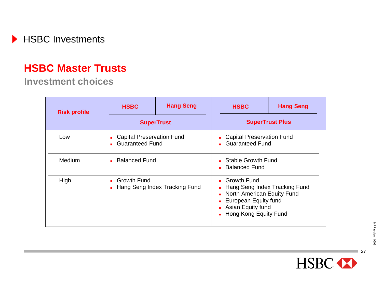

#### **HSBC Master Trusts**

#### **Investment choices**

| <b>Risk profile</b> | <b>HSBC</b>                                                 | <b>Hang Seng</b> | <b>HSBC</b>                                                                                                                                                                 | <b>Hang Seng</b> |  |
|---------------------|-------------------------------------------------------------|------------------|-----------------------------------------------------------------------------------------------------------------------------------------------------------------------------|------------------|--|
|                     | <b>SuperTrust</b>                                           |                  | <b>SuperTrust Plus</b>                                                                                                                                                      |                  |  |
| Low                 | • Capital Preservation Fund<br><b>Guaranteed Fund</b><br>a. |                  | • Capital Preservation Fund<br><b>Guaranteed Fund</b><br>$\mathbf{r}$                                                                                                       |                  |  |
| Medium              | • Balanced Fund                                             |                  | <b>Stable Growth Fund</b><br><b>Balanced Fund</b>                                                                                                                           |                  |  |
| High                | • Growth Fund<br>• Hang Seng Index Tracking Fund            |                  | • Growth Fund<br>Hang Seng Index Tracking Fund<br>$\mathbf{r}$<br><b>North American Equity Fund</b><br>European Equity fund<br>Asian Equity fund<br>• Hong Kong Equity Fund |                  |  |



 $\sqrt{27}$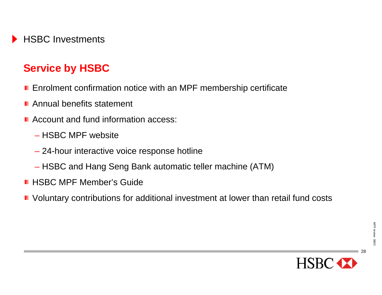

### **Service by HSBC**

- **Enrolment confirmation notice with an MPF membership certificate**
- **Annual benefits statement**
- Account and fund information access:
	- HSBC MPF website
	- 24-hour interactive voice response hotline
	- HSBC and Hang Seng Bank automatic teller machine (ATM)
- **HSBC MPF Member's Guide**
- **D** Voluntary contributions for additional investment at lower than retail fund costs

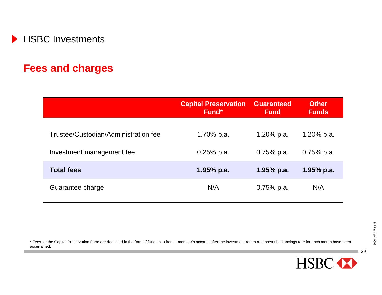

#### **Fees and charges**

|                                      | <b>Capital Preservation</b><br>Fund* | <b>Guaranteed</b><br><b>Fund</b> | <b>Other</b><br><b>Funds</b> |
|--------------------------------------|--------------------------------------|----------------------------------|------------------------------|
| Trustee/Custodian/Administration fee | 1.70% p.a.                           | 1.20% p.a.                       | 1.20% p.a.                   |
| Investment management fee            | $0.25%$ p.a.                         | $0.75%$ p.a.                     | $0.75%$ p.a.                 |
| <b>Total fees</b>                    | $1.95%$ p.a.                         | $1.95%$ p.a.                     | $1.95%$ p.a.                 |
| Guarantee charge                     | N/A                                  | $0.75%$ p.a.                     | N/A                          |

\* Fees for the Capital Preservation Fund are deducted in the form of fund units from a member's account after the investment return and prescribed savings rate for each month have been ascertained.

<sup>29</sup>

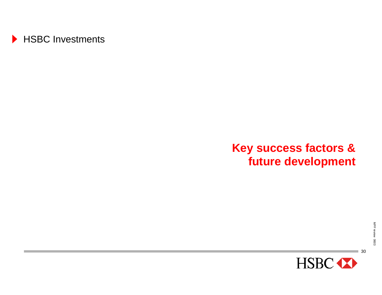

## **Key success factors & future development**

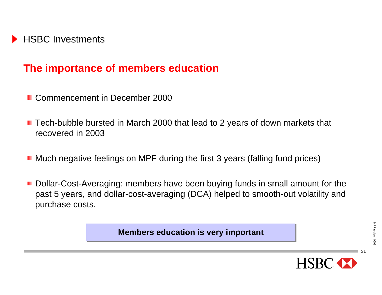

#### **The importance of members education**

- Commencement in December 2000
- Tech-bubble bursted in March 2000 that lead to 2 years of down markets that recovered in 2003
- Much negative feelings on MPF during the first 3 years (falling fund prices)
- Dollar-Cost-Averaging: members have been buying funds in small amount for the past 5 years, and dollar-cost-averaging (DCA) helped to smooth-out volatility and purchase costs.

**Members education is Members education is very important very important**

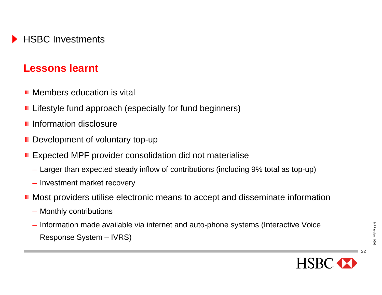### **Lessons learnt**

- **Members education is vital**
- **Lifestyle fund approach (especially for fund beginners)**
- **I** Information disclosure
- **Development of voluntary top-up**
- **Expected MPF provider consolidation did not materialise** 
	- Larger than expected steady inflow of contributions (including 9% total as top-up)
	- Investment market recovery
- **Most providers utilise electronic means to accept and disseminate information** 
	- Monthly contributions
	- Information made available via internet and auto-phone systems (Interactive Voice Response System – IVRS)

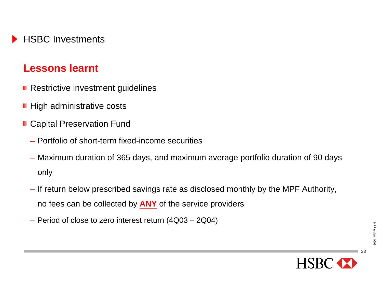### **Lessons learnt**

- **Restrictive investment guidelines**
- $\blacksquare$  High administrative costs
- **E** Capital Preservation Fund
	- Portfolio of short-term fixed-income securities
	- Maximum duration of 365 days, and maximum average portfolio duration of 90 days only
	- If return below prescribed savings rate as disclosed monthly by the MPF Authority, no fees can be collected by **ANY** of the service providers
	- Period of close to zero interest return (4Q03 2Q04)

MPF review 0603

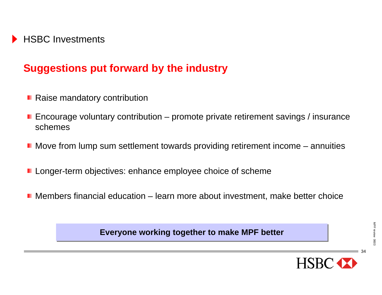### **Suggestions put forward by the industry**

- Raise mandatory contribution
- **E** Encourage voluntary contribution promote private retirement savings / insurance schemes
- $\blacksquare$  Move from lump sum settlement towards providing retirement income  $-$  annuities
- **Longer-term objectives: enhance employee choice of scheme**
- Members financial education learn more about investment, make better choice

**Everyone working together to make MPF better** 

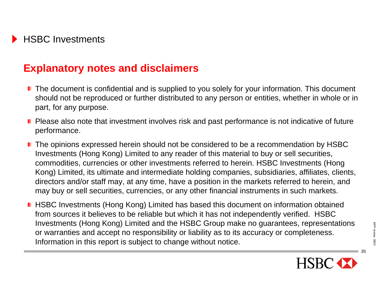#### **Explanatory notes and disclaimers**

- $\blacksquare$  The document is confidential and is supplied to you solely for your information. This document should not be reproduced or further distributed to any person or entities, whether in whole or in part, for any purpose.
- Please also note that investment involves risk and past performance is not indicative of future performance.
- The opinions expressed herein should not be considered to be a recommendation by HSBC Investments (Hong Kong) Limited to any reader of this material to buy or sell securities, commodities, currencies or other investments referred to herein. HSBC Investments (Hong Kong) Limited, its ultimate and intermediate holding companies, subsidiaries, affiliates, clients, directors and/or staff may, at any time, have a position in the markets referred to herein, and may buy or sell securities, currencies, or any other financial instruments in such markets.
- **HISBC Investments (Hong Kong) Limited has based this document on information obtained** from sources it believes to be reliable but which it has not independently verified. HSBC Investments (Hong Kong) Limited and the HSBC Group make no guarantees, representations or warranties and accept no responsibility or liability as to its accuracy or completeness. Information in this report is subject to change without notice.



MPF review 0603

MPF review 0603